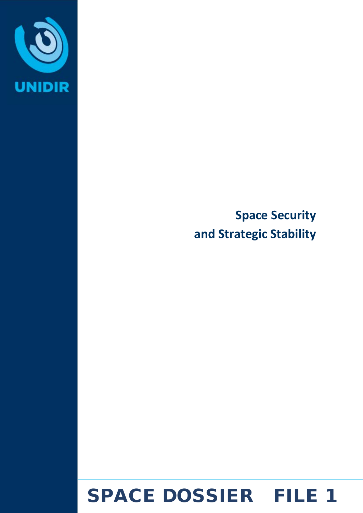

**Space Security and Strategic Stability** 

# SPACE DOSSIER FILE 1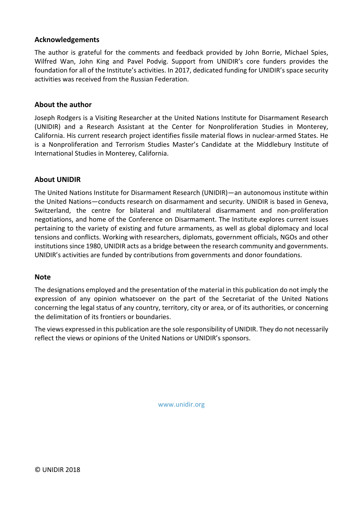#### **Acknowledgements**

The author is grateful for the comments and feedback provided by John Borrie, Michael Spies, Wilfred Wan, John King and Pavel Podvig. Support from UNIDIR's core funders provides the foundation for all of the Institute's activities. In 2017, dedicated funding for UNIDIR's space security activities was received from the Russian Federation.

#### **About the author**

Joseph Rodgers is a Visiting Researcher at the United Nations Institute for Disarmament Research (UNIDIR) and a Research Assistant at the Center for Nonproliferation Studies in Monterey, California. His current research project identifies fissile material flows in nuclear-armed States. He is a Nonproliferation and Terrorism Studies Master's Candidate at the Middlebury Institute of International Studies in Monterey, California.

#### **About UNIDIR**

The United Nations Institute for Disarmament Research (UNIDIR)—an autonomous institute within the United Nations—conducts research on disarmament and security. UNIDIR is based in Geneva, Switzerland, the centre for bilateral and multilateral disarmament and non-proliferation negotiations, and home of the Conference on Disarmament. The Institute explores current issues pertaining to the variety of existing and future armaments, as well as global diplomacy and local tensions and conflicts. Working with researchers, diplomats, government officials, NGOs and other institutions since 1980, UNIDIR acts as a bridge between the research community and governments. UNIDIR's activities are funded by contributions from governments and donor foundations.

#### **Note**

The designations employed and the presentation of the material in this publication do not imply the expression of any opinion whatsoever on the part of the Secretariat of the United Nations concerning the legal status of any country, territory, city or area, or of its authorities, or concerning the delimitation of its frontiers or boundaries.

The views expressed in this publication are the sole responsibility of UNIDIR. They do not necessarily reflect the views or opinions of the United Nations or UNIDIR's sponsors.

www.unidir.org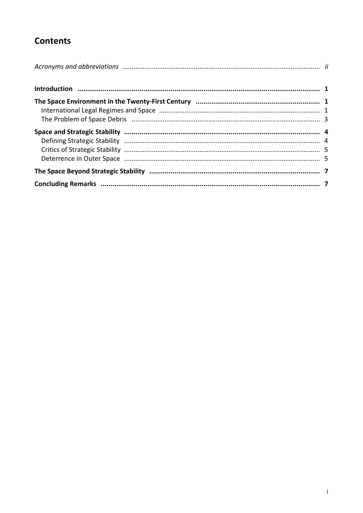# **Contents**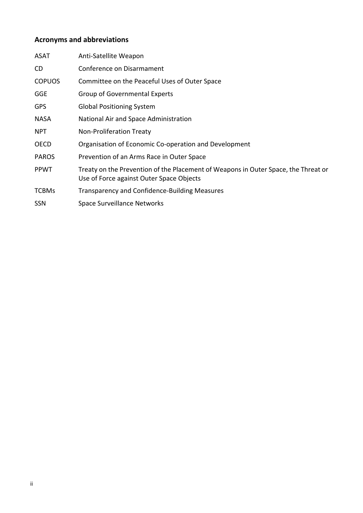# <span id="page-3-0"></span>**Acronyms and abbreviations**

| ASAT          | Anti-Satellite Weapon                                                                                                          |
|---------------|--------------------------------------------------------------------------------------------------------------------------------|
| CD.           | Conference on Disarmament                                                                                                      |
| <b>COPUOS</b> | Committee on the Peaceful Uses of Outer Space                                                                                  |
| <b>GGE</b>    | <b>Group of Governmental Experts</b>                                                                                           |
| <b>GPS</b>    | <b>Global Positioning System</b>                                                                                               |
| <b>NASA</b>   | National Air and Space Administration                                                                                          |
| <b>NPT</b>    | Non-Proliferation Treaty                                                                                                       |
| <b>OECD</b>   | Organisation of Economic Co-operation and Development                                                                          |
| <b>PAROS</b>  | Prevention of an Arms Race in Outer Space                                                                                      |
| <b>PPWT</b>   | Treaty on the Prevention of the Placement of Weapons in Outer Space, the Threat or<br>Use of Force against Outer Space Objects |
| <b>TCBMs</b>  | Transparency and Confidence-Building Measures                                                                                  |
| <b>SSN</b>    | <b>Space Surveillance Networks</b>                                                                                             |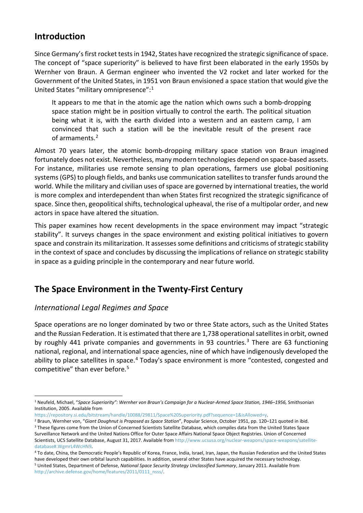#### <span id="page-4-0"></span>**Introduction**

Since Germany's first rocket tests in 1942, States have recognized the strategic significance of space. The concept of "space superiority" is believed to have first been elaborated in the early 1950s by Wernher von Braun. A German engineer who invented the V2 rocket and later worked for the Government of the United States, in 1951 von Braun envisioned a space station that would give the United States "military omnipresence":[1](#page-4-3)

It appears to me that in the atomic age the nation which owns such a bomb-dropping space station might be in position virtually to control the earth. The political situation being what it is, with the earth divided into a western and an eastern camp, I am convinced that such a station will be the inevitable result of the present race of armaments.[2](#page-4-4)

Almost 70 years later, the atomic bomb-dropping military space station von Braun imagined fortunately does not exist. Nevertheless, many modern technologies depend on space-based assets. For instance, militaries use remote sensing to plan operations, farmers use global positioning systems (GPS) to plough fields, and banks use communication satellites to transfer funds around the world. While the military and civilian uses of space are governed by international treaties, the world is more complex and interdependent than when States first recognized the strategic significance of space. Since then, geopolitical shifts, technological upheaval, the rise of a multipolar order, and new actors in space have altered the situation.

This paper examines how recent developments in the space environment may impact "strategic stability". It surveys changes in the space environment and existing political initiatives to govern space and constrain its militarization. It assesses some definitions and criticisms of strategic stability in the context of space and concludes by discussing the implications of reliance on strategic stability in space as a guiding principle in the contemporary and near future world.

## <span id="page-4-1"></span>**The Space Environment in the Twenty-First Century**

#### <span id="page-4-2"></span>*International Legal Regimes and Space*

Space operations are no longer dominated by two or three State actors, such as the United States and the Russian Federation. It is estimated that there are 1,738 operational satellites in orbit, owned by roughly 441 private companies and governments in 9[3](#page-4-5) countries.<sup>3</sup> There are 63 functioning national, regional, and international space agencies, nine of which have indigenously developed the ability to place satellites in space.<sup>[4](#page-4-6)</sup> Today's space environment is more "contested, congested and competitive" than ever before.<sup>[5](#page-4-7)</sup>

<span id="page-4-3"></span> <sup>1</sup> Neufeld, Michael, "*Space Superiority": Wernher von Braun's Campaign for a Nuclear-Armed Space Station, 1946–1956,* Smithsonian Institution, 2005. Available from

https://repository.si.edu/bitstream/handle/10088/29811/Space%20Superiority.pdf?sequence=1&isAllowed=y.

<span id="page-4-5"></span><span id="page-4-4"></span><sup>2</sup> Braun, Wernher von, "*Giant Doughnut is Proposed as Space Station*", Popular Science, October 1951, pp. 120–121 quoted in ibid. <sup>3</sup> These figures come from the Union of Concerned Scientists Satellite Database, which compiles data from the United States Space Surveillance Network and the United Nations Office for Outer Space Affairs National Space Object Registries. Union of Concerned

Scientists, UCS Satellite Database, August 31, 2017. Available from http://www.ucsusa.org/nuclear-weapons/space-weapons/satellitedatabase#.WgmrL4WcHN9.

<span id="page-4-7"></span><span id="page-4-6"></span><sup>4</sup> To date, China, the Democratic People's Republic of Korea, France, India, Israel, Iran, Japan, the Russian Federation and the United States have developed their own orbital launch capabilities. In addition, several other States have acquired the necessary technology.<br><sup>5</sup> United States, Department of Defense, National Space Security Strategy Unclassified Summar http://archive.defense.gov/home/features/2011/0111\_nsss/.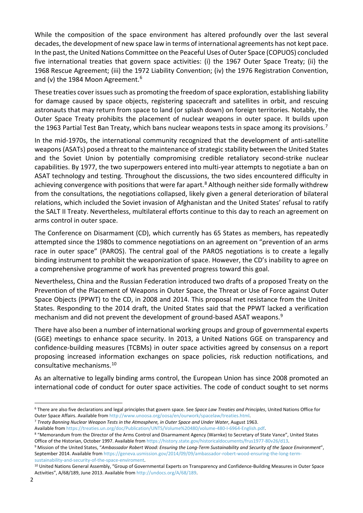While the composition of the space environment has altered profoundly over the last several decades, the development of new space law in terms of international agreements has not kept pace. In the past, the United Nations Committee on the Peaceful Uses of Outer Space (COPUOS) concluded five international treaties that govern space activities: (i) the 1967 Outer Space Treaty; (ii) the 1968 Rescue Agreement; (iii) the 1972 Liability Convention; (iv) the 1976 Registration Convention, and (v) the 1984 Moon Agreement.<sup>[6](#page-5-0)</sup>

These treaties cover issues such as promoting the freedom of space exploration, establishing liability for damage caused by space objects, registering spacecraft and satellites in orbit, and rescuing astronauts that may return from space to land (or splash down) on foreign territories. Notably, the Outer Space Treaty prohibits the placement of nuclear weapons in outer space. It builds upon the 1963 Partial Test Ban Treaty, which bans nuclear weapons tests in space among its provisions.<sup>[7](#page-5-1)</sup>

In the mid-1970s, the international community recognized that the development of anti-satellite weapons (ASATs) posed a threat to the maintenance of strategic stability between the United States and the Soviet Union by potentially compromising credible retaliatory second-strike nuclear capabilities. By 1977, the two superpowers entered into multi-year attempts to negotiate a ban on ASAT technology and testing. Throughout the discussions, the two sides encountered difficulty in achieving convergence with positions that were far apart.<sup>[8](#page-5-2)</sup> Although neither side formally withdrew from the consultations, the negotiations collapsed, likely given a general deterioration of bilateral relations, which included the Soviet invasion of Afghanistan and the United States' refusal to ratify the SALT II Treaty. Nevertheless, multilateral efforts continue to this day to reach an agreement on arms control in outer space.

The Conference on Disarmament (CD), which currently has 65 States as members, has repeatedly attempted since the 1980s to commence negotiations on an agreement on "prevention of an arms race in outer space" (PAROS). The central goal of the PAROS negotiations is to create a legally binding instrument to prohibit the weaponization of space. However, the CD's inability to agree on a comprehensive programme of work has prevented progress toward this goal.

Nevertheless, China and the Russian Federation introduced two drafts of a proposed Treaty on the Prevention of the Placement of Weapons in Outer Space, the Threat or Use of Force against Outer Space Objects (PPWT) to the CD, in 2008 and 2014. This proposal met resistance from the United States. Responding to the 2014 draft, the United States said that the PPWT lacked a verification mechanism and did not prevent the development of ground-based ASAT weapons.<sup>[9](#page-5-3)</sup>

There have also been a number of international working groups and group of governmental experts (GGE) meetings to enhance space security. In 2013, a United Nations GGE on transparency and confidence-building measures (TCBMs) in outer space activities agreed by consensus on a report proposing increased information exchanges on space policies, risk reduction notifications, and consultative mechanisms.[10](#page-5-4)

As an alternative to legally binding arms control, the European Union has since 2008 promoted an international code of conduct for outer space activities. The code of conduct sought to set norms

<span id="page-5-0"></span> <sup>6</sup> There are also five declarations and legal principles that govern space. See *Space Law Treaties and Principles*, United Nations Office for Outer Space Affairs. Available from http://www.unoosa.org/oosa/en/ourwork/spacelaw/treaties.html.

<span id="page-5-1"></span><sup>7</sup> *Treaty Banning Nuclear Weapon Tests in the Atmosphere, in Outer Space and Under Water*, August 1963.

<span id="page-5-2"></span>Available from https://treaties.un.org/doc/Publication/UNTS/Volume%20480/volume-480-I-6964-English.pdf.<br><sup>8</sup> "Memorandum from the Director of the Arms Control and Disarmament Agency (Warnke) to Secretary of State Vance", Un Office of the Historian, October 1997. Available from https://history.state.gov/historicaldocuments/frus1977-80v26/d13.

<span id="page-5-3"></span><sup>9</sup> Mission of the United States, "*Ambassador Robert Wood: Ensuring the Long-Term Sustainability and Security of the Space Environment*", September 2014. Available from https://geneva.usmission.gov/2014/09/09/ambassador-robert-wood-ensuring-the-long-termsustainability-and-security-of-the-space-enviroment.

<span id="page-5-4"></span><sup>&</sup>lt;sup>10</sup> United Nations General Assembly, "Group of Governmental Experts on Transparency and Confidence-Building Measures in Outer Space Activities", A/68/189, June 2013. Available from http://undocs.org/A/68/189.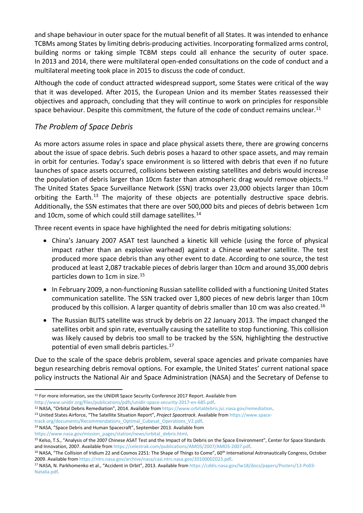and shape behaviour in outer space for the mutual benefit of all States. It was intended to enhance TCBMs among States by limiting debris-producing activities. Incorporating formalized arms control, building norms or taking simple TCBM steps could all enhance the security of outer space. In 2013 and 2014, there were multilateral open-ended consultations on the code of conduct and a multilateral meeting took place in 2015 to discuss the code of conduct.

Although the code of conduct attracted widespread support, some States were critical of the way that it was developed. After 2015, the European Union and its member States reassessed their objectives and approach, concluding that they will continue to work on principles for responsible space behaviour. Despite this commitment, the future of the code of conduct remains unclear.<sup>11</sup>

#### <span id="page-6-0"></span>*The Problem of Space Debris*

As more actors assume roles in space and place physical assets there, there are growing concerns about the issue of space debris. Such debris poses a hazard to other space assets, and may remain in orbit for centuries. Today's space environment is so littered with debris that even if no future launches of space assets occurred, collisions between existing satellites and debris would increase the population of debris larger than 10cm faster than atmospheric drag would remove objects.<sup>[12](#page-6-2)</sup> The United States Space Surveillance Network (SSN) tracks over 23,000 objects larger than 10cm orbiting the Earth.<sup>[13](#page-6-3)</sup> The majority of these objects are potentially destructive space debris. Additionally, the SSN estimates that there are over 500,000 bits and pieces of debris between 1cm and 10cm, some of which could still damage satellites.<sup>[14](#page-6-4)</sup>

Three recent events in space have highlighted the need for debris mitigating solutions:

- China's January 2007 ASAT test launched a kinetic kill vehicle (using the force of physical impact rather than an explosive warhead) against a Chinese weather satellite. The test produced more space debris than any other event to date. According to one source, the test produced at least 2,087 trackable pieces of debris larger than 10cm and around 35,000 debris particles down to 1cm in size.<sup>[15](#page-6-5)</sup>
- In February 2009, a non-functioning Russian satellite collided with a functioning United States communication satellite. The SSN tracked over 1,800 pieces of new debris larger than 10cm produced by this collision. A larger quantity of debris smaller than 10 cm was also created.<sup>[16](#page-6-6)</sup>
- The Russian BLITS satellite was struck by debris on 22 January 2013. The impact changed the satellites orbit and spin rate, eventually causing the satellite to stop functioning. This collision was likely caused by debris too small to be tracked by the SSN, highlighting the destructive potential of even small debris particles.<sup>[17](#page-6-7)</sup>

Due to the scale of the space debris problem, several space agencies and private companies have begun researching debris removal options. For example, the United States' current national space policy instructs the National Air and Space Administration (NASA) and the Secretary of Defense to

http://www.unidir.org/files/publications/pdfs/unidir-space-security-2017-en-685.pdf.

<span id="page-6-2"></span><sup>12</sup> NASA, "Orbital Debris Remediation", 2014. Available from https://www.orbitaldebris.jsc.nasa.gov/remediation.

track.org/documents/Recommendations\_Optimal\_Cubesat\_Operations\_V2.pdf.

https://www.nasa.gov/mission\_pages/station/news/orbital\_debris.html.

<span id="page-6-1"></span><sup>&</sup>lt;sup>11</sup> For more information, see the UNIDIR Space Security Conference 2017 Report. Available from

<span id="page-6-3"></span><sup>13</sup> United States Airforce, "The Satellite Situation Report", *Project Spacetrack*. Available from https://www.space-

<span id="page-6-4"></span><sup>&</sup>lt;sup>14</sup> NASA, "Space Debris and Human Spacecraft", September 2013. Available from

<span id="page-6-5"></span><sup>&</sup>lt;sup>15</sup> Kelso, T.S., "Analysis of the 2007 Chinese ASAT Test and the Impact of Its Debris on the Space Environment", Center for Space Standards and Innovation, 2007. Available from https://celestrak.com/publications/AMOS/2007/AMOS-2007.pdf.

<span id="page-6-6"></span><sup>&</sup>lt;sup>16</sup> NASA, "The Collision of Iridium 22 and Cosmos 2251: The Shape of Things to Come", 60<sup>th</sup> International Astronautically Congress, October 2009. Available from https://ntrs.nasa.gov/archive/nasa/casi.ntrs.nasa.gov/20100002023.pdf.

<span id="page-6-7"></span><sup>17</sup> NASA, N. Parkhomenko et al., "Accident in Orbit", 2013. Available from https://cddis.nasa.gov/lw18/docs/papers/Posters/13-Po03- Natalia.pdf.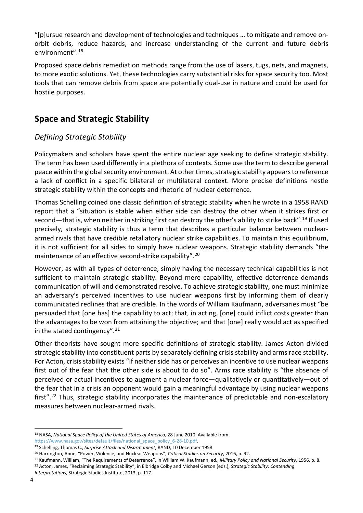"[p]ursue research and development of technologies and techniques … to mitigate and remove onorbit debris, reduce hazards, and increase understanding of the current and future debris environment".[18](#page-7-2)

Proposed space debris remediation methods range from the use of lasers, tugs, nets, and magnets, to more exotic solutions. Yet, these technologies carry substantial risks for space security too. Most tools that can remove debris from space are potentially dual-use in nature and could be used for hostile purposes.

#### <span id="page-7-0"></span>**Space and Strategic Stability**

#### <span id="page-7-1"></span>*Defining Strategic Stability*

Policymakers and scholars have spent the entire nuclear age seeking to define strategic stability. The term has been used differently in a plethora of contexts. Some use the term to describe general peace within the global security environment. At other times, strategic stability appears to reference a lack of conflict in a specific bilateral or multilateral context. More precise definitions nestle strategic stability within the concepts and rhetoric of nuclear deterrence.

Thomas Schelling coined one classic definition of strategic stability when he wrote in a 1958 RAND report that a "situation is stable when either side can destroy the other when it strikes first or second—that is, when neither in striking first can destroy the other's ability to strike back".<sup>[19](#page-7-3)</sup> If used precisely, strategic stability is thus a term that describes a particular balance between nucleararmed rivals that have credible retaliatory nuclear strike capabilities. To maintain this equilibrium, it is not sufficient for all sides to simply have nuclear weapons. Strategic stability demands "the maintenance of an effective second-strike capability".[20](#page-7-4)

However, as with all types of deterrence, simply having the necessary technical capabilities is not sufficient to maintain strategic stability. Beyond mere capability, effective deterrence demands communication of will and demonstrated resolve. To achieve strategic stability, one must minimize an adversary's perceived incentives to use nuclear weapons first by informing them of clearly communicated redlines that are credible. In the words of William Kaufmann, adversaries must "be persuaded that [one has] the capability to act; that, in acting, [one] could inflict costs greater than the advantages to be won from attaining the objective; and that [one] really would act as specified in the stated contingency". $21$ 

Other theorists have sought more specific definitions of strategic stability. James Acton divided strategic stability into constituent parts by separately defining crisis stability and arms race stability. For Acton, crisis stability exists "if neither side has or perceives an incentive to use nuclear weapons first out of the fear that the other side is about to do so". Arms race stability is "the absence of perceived or actual incentives to augment a nuclear force—qualitatively or quantitatively—out of the fear that in a crisis an opponent would gain a meaningful advantage by using nuclear weapons first".<sup>[22](#page-7-6)</sup> Thus, strategic stability incorporates the maintenance of predictable and non-escalatory measures between nuclear-armed rivals.

<span id="page-7-2"></span> <sup>18</sup> NASA, *National Space Policy of the United States of America*, 28 June 2010. Available from https://www.nasa.gov/sites/default/files/national\_space\_policy\_6-28-10.pdf.

<span id="page-7-3"></span><sup>&</sup>lt;sup>19</sup> Schelling, Thomas C., *Surprise Attack and Disarmament*, RAND, 10 December 1958.<br><sup>20</sup> Harrington, Anne, "Power, Violence, and Nuclear Weapons", *Critical Studies on Security*, 2016, p. 92.

<span id="page-7-4"></span>

<span id="page-7-5"></span><sup>21</sup> Kaufmann, William, "The Requirements of Deterrence", in William W. Kaufmann, ed., *Military Policy and National Security*, 1956, p. 8.

<span id="page-7-6"></span><sup>22</sup> Acton, James, "Reclaiming Strategic Stability", in Elbridge Colby and Michael Gerson (eds.), *Strategic Stability: Contending Interpretations*, Strategic Studies Institute, 2013, p. 117.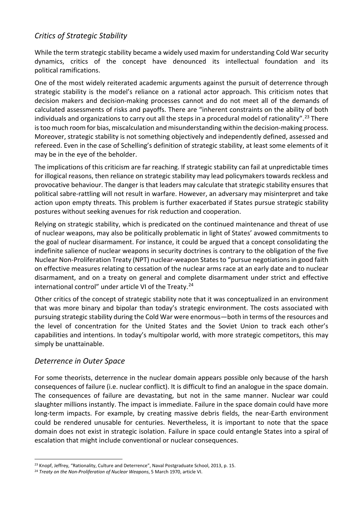#### <span id="page-8-0"></span>*Critics of Strategic Stability*

While the term strategic stability became a widely used maxim for understanding Cold War security dynamics, critics of the concept have denounced its intellectual foundation and its political ramifications.

One of the most widely reiterated academic arguments against the pursuit of deterrence through strategic stability is the model's reliance on a rational actor approach. This criticism notes that decision makers and decision-making processes cannot and do not meet all of the demands of calculated assessments of risks and payoffs. There are "inherent constraints on the ability of both individuals and organizations to carry out all the steps in a procedural model of rationality".<sup>[23](#page-8-2)</sup> There is too much room for bias, miscalculation and misunderstanding within the decision-making process. Moreover, strategic stability is not something objectively and independently defined, assessed and refereed. Even in the case of Schelling's definition of strategic stability, at least some elements of it may be in the eye of the beholder.

The implications of this criticism are far reaching. If strategic stability can fail at unpredictable times for illogical reasons, then reliance on strategic stability may lead policymakers towards reckless and provocative behaviour. The danger is that leaders may calculate that strategic stability ensures that political sabre-rattling will not result in warfare. However, an adversary may misinterpret and take action upon empty threats. This problem is further exacerbated if States pursue strategic stability postures without seeking avenues for risk reduction and cooperation.

Relying on strategic stability, which is predicated on the continued maintenance and threat of use of nuclear weapons, may also be politically problematic in light of States' avowed commitments to the goal of nuclear disarmament. For instance, it could be argued that a concept consolidating the indefinite salience of nuclear weapons in security doctrines is contrary to the obligation of the five Nuclear Non-Proliferation Treaty (NPT) nuclear-weapon States to "pursue negotiations in good faith on effective measures relating to cessation of the nuclear arms race at an early date and to nuclear disarmament, and on a treaty on general and complete disarmament under strict and effective international control" under article VI of the Treaty.[24](#page-8-3)

Other critics of the concept of strategic stability note that it was conceptualized in an environment that was more binary and bipolar than today's strategic environment. The costs associated with pursuing strategic stability during the Cold War were enormous—both in terms of the resources and the level of concentration for the United States and the Soviet Union to track each other's capabilities and intentions. In today's multipolar world, with more strategic competitors, this may simply be unattainable.

#### <span id="page-8-1"></span>*Deterrence in Outer Space*

For some theorists, deterrence in the nuclear domain appears possible only because of the harsh consequences of failure (i.e. nuclear conflict). It is difficult to find an analogue in the space domain. The consequences of failure are devastating, but not in the same manner. Nuclear war could slaughter millions instantly. The impact is immediate. Failure in the space domain could have more long-term impacts. For example, by creating massive debris fields, the near-Earth environment could be rendered unusable for centuries. Nevertheless, it is important to note that the space domain does not exist in strategic isolation. Failure in space could entangle States into a spiral of escalation that might include conventional or nuclear consequences.

<span id="page-8-2"></span><sup>&</sup>lt;sup>23</sup> Knopf, Jeffrey, "Rationality, Culture and Deterrence", Naval Postgraduate School, 2013, p. 15.<br><sup>24</sup> *Treaty on the Non-Proliferation of Nuclear Weapons*, 5 March 1970, article VI.

<span id="page-8-3"></span>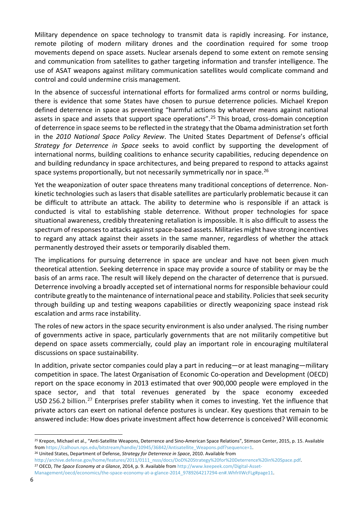Military dependence on space technology to transmit data is rapidly increasing. For instance, remote piloting of modern military drones and the coordination required for some troop movements depend on space assets. Nuclear arsenals depend to some extent on remote sensing and communication from satellites to gather targeting information and transfer intelligence. The use of ASAT weapons against military communication satellites would complicate command and control and could undermine crisis management.

In the absence of successful international efforts for formalized arms control or norms building, there is evidence that some States have chosen to pursue deterrence policies. Michael Krepon defined deterrence in space as preventing "harmful actions by whatever means against national assets in space and assets that support space operations".[25](#page-9-0) This broad, cross-domain conception of deterrence in space seems to be reflected in the strategy that the Obama administration set forth in the *2010 National Space Policy Review*. The United States Department of Defense's official *Strategy for Deterrence in Space* seeks to avoid conflict by supporting the development of international norms, building coalitions to enhance security capabilities, reducing dependence on and building redundancy in space architectures, and being prepared to respond to attacks against space systems proportionally, but not necessarily symmetrically nor in space.<sup>[26](#page-9-1)</sup>

Yet the weaponization of outer space threatens many traditional conceptions of deterrence. Nonkinetic technologies such as lasers that disable satellites are particularly problematic because it can be difficult to attribute an attack. The ability to determine who is responsible if an attack is conducted is vital to establishing stable deterrence. Without proper technologies for space situational awareness, credibly threatening retaliation is impossible. It is also difficult to assess the spectrum of responses to attacks against space-based assets. Militaries might have strong incentives to regard any attack against their assets in the same manner, regardless of whether the attack permanently destroyed their assets or temporarily disabled them.

The implications for pursuing deterrence in space are unclear and have not been given much theoretical attention. Seeking deterrence in space may provide a source of stability or may be the basis of an arms race. The result will likely depend on the character of deterrence that is pursued. Deterrence involving a broadly accepted set of international norms for responsible behaviour could contribute greatly to the maintenance of international peace and stability. Policies that seek security through building up and testing weapons capabilities or directly weaponizing space instead risk escalation and arms race instability.

The roles of new actors in the space security environment is also under analysed. The rising number of governments active in space, particularly governments that are not militarily competitive but depend on space assets commercially, could play an important role in encouraging multilateral discussions on space sustainability.

In addition, private sector companies could play a part in reducing—or at least managing—military competition in space. The latest Organisation of Economic Co-operation and Development (OECD) report on the space economy in 2013 estimated that over 900,000 people were employed in the space sector, and that total revenues generated by the space economy exceeded USD 256.2 billion.<sup>[27](#page-9-2)</sup> Enterprises prefer stability when it comes to investing. Yet the influence that private actors can exert on national defence postures is unclear. Key questions that remain to be answered include: How does private investment affect how deterrence is conceived? Will economic

<span id="page-9-0"></span><sup>&</sup>lt;sup>25</sup> Krepon, Michael et al., "Anti-Satellite Weapons, Deterrence and Sino-American Space Relations", Stimson Center, 2015, p. 15. Available from https://calhoun.nps.edu/bitstream/handle/10945/36842/Antisatellite\_Weapons.pdf?sequence=1.

<span id="page-9-1"></span><sup>26</sup> United States, Department of Defense, *Strategy for Deterrence in Space*, 2010. Available from

http://archive.defense.gov/home/features/2011/0111\_nsss/docs/DoD%20Strategy%20for%20Deterrence%20in%20Space.pdf. <sup>27</sup> OECD, *The Space Economy at a Glance*, 2014, p. 9. Available from http://www.keepeek.com/Digital-Asset-

<span id="page-9-2"></span>Management/oecd/economics/the-space-economy-at-a-glance-2014\_9789264217294-en#.WhfrIIWcFLg#page11.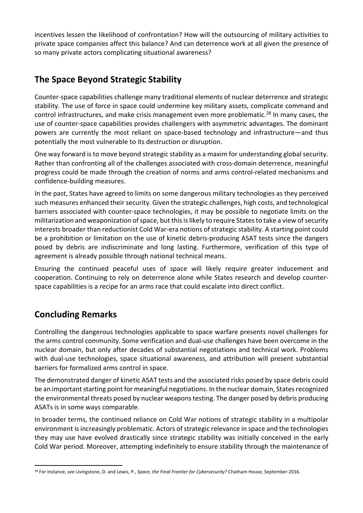incentives lessen the likelihood of confrontation? How will the outsourcing of military activities to private space companies affect this balance? And can deterrence work at all given the presence of so many private actors complicating situational awareness?

## <span id="page-10-0"></span>**The Space Beyond Strategic Stability**

Counter-space capabilities challenge many traditional elements of nuclear deterrence and strategic stability. The use of force in space could undermine key military assets, complicate command and control infrastructures, and make crisis management even more problematic.<sup>[28](#page-10-2)</sup> In many cases, the use of counter-space capabilities provides challengers with asymmetric advantages. The dominant powers are currently the most reliant on space-based technology and infrastructure—and thus potentially the most vulnerable to its destruction or disruption.

One way forward is to move beyond strategic stability as a maxim for understanding global security. Rather than confronting all of the challenges associated with cross-domain deterrence, meaningful progress could be made through the creation of norms and arms control-related mechanisms and confidence-building measures.

In the past, States have agreed to limits on some dangerous military technologies as they perceived such measures enhanced their security. Given the strategic challenges, high costs, and technological barriers associated with counter-space technologies, it may be possible to negotiate limits on the militarization and weaponization of space, but this is likely to require States to take a view of security interests broader than reductionist Cold War-era notions of strategic stability. A starting point could be a prohibition or limitation on the use of kinetic debris-producing ASAT tests since the dangers posed by debris are indiscriminate and long lasting. Furthermore, verification of this type of agreement is already possible through national technical means.

Ensuring the continued peaceful uses of space will likely require greater inducement and cooperation. Continuing to rely on deterrence alone while States research and develop counterspace capabilities is a recipe for an arms race that could escalate into direct conflict.

## <span id="page-10-1"></span>**Concluding Remarks**

Controlling the dangerous technologies applicable to space warfare presents novel challenges for the arms control community. Some verification and dual-use challenges have been overcome in the nuclear domain, but only after decades of substantial negotiations and technical work. Problems with dual-use technologies, space situational awareness, and attribution will present substantial barriers for formalized arms control in space.

The demonstrated danger of kinetic ASAT tests and the associated risks posed by space debris could be an important starting point for meaningful negotiations. In the nuclear domain, States recognized the environmental threats posed by nuclear weapons testing. The danger posed by debris producing ASATs is in some ways comparable.

In broader terms, the continued reliance on Cold War notions of strategic stability in a multipolar environment is increasingly problematic. Actors of strategic relevance in space and the technologies they may use have evolved drastically since strategic stability was initially conceived in the early Cold War period. Moreover, attempting indefinitely to ensure stability through the maintenance of

<span id="page-10-2"></span> <sup>28</sup> For instance, see Livingstone, D. and Lewis, P., *Space, the Final Frontier for Cybersecurity?* Chatham House, September 2016.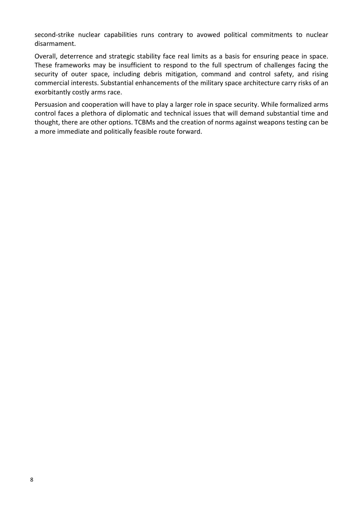second-strike nuclear capabilities runs contrary to avowed political commitments to nuclear disarmament.

Overall, deterrence and strategic stability face real limits as a basis for ensuring peace in space. These frameworks may be insufficient to respond to the full spectrum of challenges facing the security of outer space, including debris mitigation, command and control safety, and rising commercial interests. Substantial enhancements of the military space architecture carry risks of an exorbitantly costly arms race.

Persuasion and cooperation will have to play a larger role in space security. While formalized arms control faces a plethora of diplomatic and technical issues that will demand substantial time and thought, there are other options. TCBMs and the creation of norms against weapons testing can be a more immediate and politically feasible route forward.